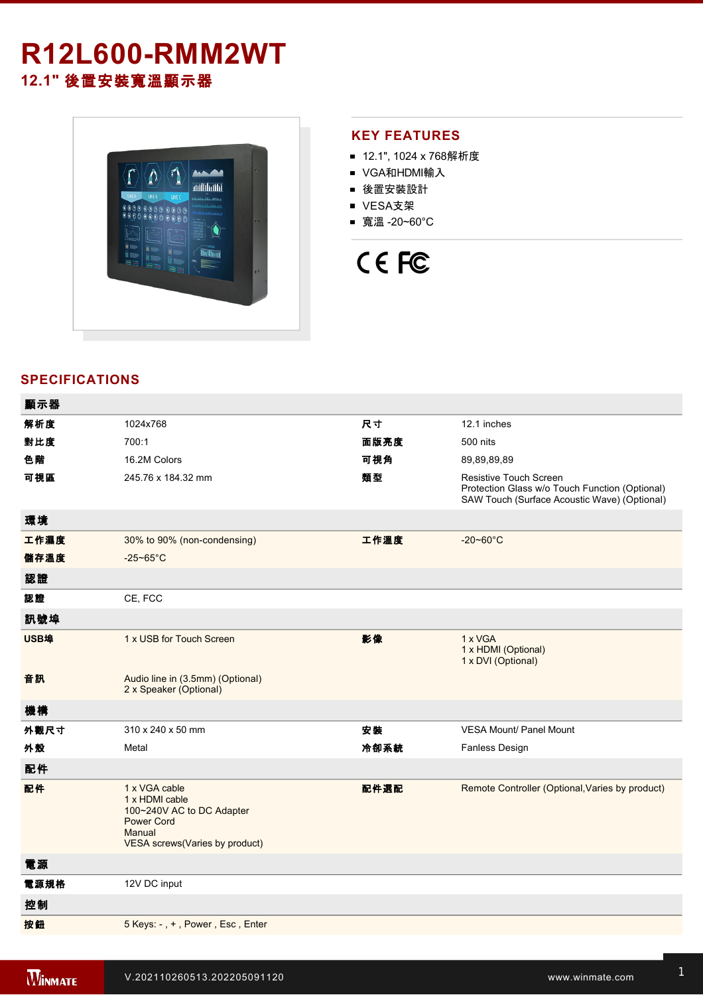# **R12L600-RMM2WT 12.1"** 後置安裝寬溫顯示器



# **KEY FEATURES**

- 12.1", 1024 x 768解析度
- VGA和HDMI輸入
- 後置安裝設計
- VESA支架
- 寬溫 -20~60°C

# CE FC

# **SPECIFICATIONS**

| 顯示器  |                                                                                                                               |      |                                                                                                                          |
|------|-------------------------------------------------------------------------------------------------------------------------------|------|--------------------------------------------------------------------------------------------------------------------------|
| 解析度  | 1024x768                                                                                                                      | 尺寸   | 12.1 inches                                                                                                              |
| 對比度  | 700:1                                                                                                                         | 面版亮度 | 500 nits                                                                                                                 |
| 色階   | 16.2M Colors                                                                                                                  | 可視角  | 89,89,89,89                                                                                                              |
| 可視區  | 245.76 x 184.32 mm                                                                                                            | 類型   | Resistive Touch Screen<br>Protection Glass w/o Touch Function (Optional)<br>SAW Touch (Surface Acoustic Wave) (Optional) |
| 環境   |                                                                                                                               |      |                                                                                                                          |
| 工作濕度 | 30% to 90% (non-condensing)                                                                                                   | 工作溫度 | $-20 - 60^{\circ}C$                                                                                                      |
| 儲存溫度 | $-25 - 65^{\circ}$ C                                                                                                          |      |                                                                                                                          |
| 認證   |                                                                                                                               |      |                                                                                                                          |
| 認證   | CE, FCC                                                                                                                       |      |                                                                                                                          |
| 訊號埠  |                                                                                                                               |      |                                                                                                                          |
| USB埠 | 1 x USB for Touch Screen                                                                                                      | 影像   | 1 x VGA<br>1 x HDMI (Optional)<br>1 x DVI (Optional)                                                                     |
| 音訊   | Audio line in (3.5mm) (Optional)<br>2 x Speaker (Optional)                                                                    |      |                                                                                                                          |
| 機構   |                                                                                                                               |      |                                                                                                                          |
| 外觀尺寸 | 310 x 240 x 50 mm                                                                                                             | 安裝   | <b>VESA Mount/ Panel Mount</b>                                                                                           |
| 外殼   | Metal                                                                                                                         | 冷卻系統 | Fanless Design                                                                                                           |
| 配件   |                                                                                                                               |      |                                                                                                                          |
| 配件   | 1 x VGA cable<br>1 x HDMI cable<br>100~240V AC to DC Adapter<br><b>Power Cord</b><br>Manual<br>VESA screws(Varies by product) | 配件選配 | Remote Controller (Optional, Varies by product)                                                                          |
| 電源   |                                                                                                                               |      |                                                                                                                          |
| 電源規格 | 12V DC input                                                                                                                  |      |                                                                                                                          |
| 控制   |                                                                                                                               |      |                                                                                                                          |
| 按鈕   | 5 Keys: -, +, Power, Esc, Enter                                                                                               |      |                                                                                                                          |
|      |                                                                                                                               |      |                                                                                                                          |